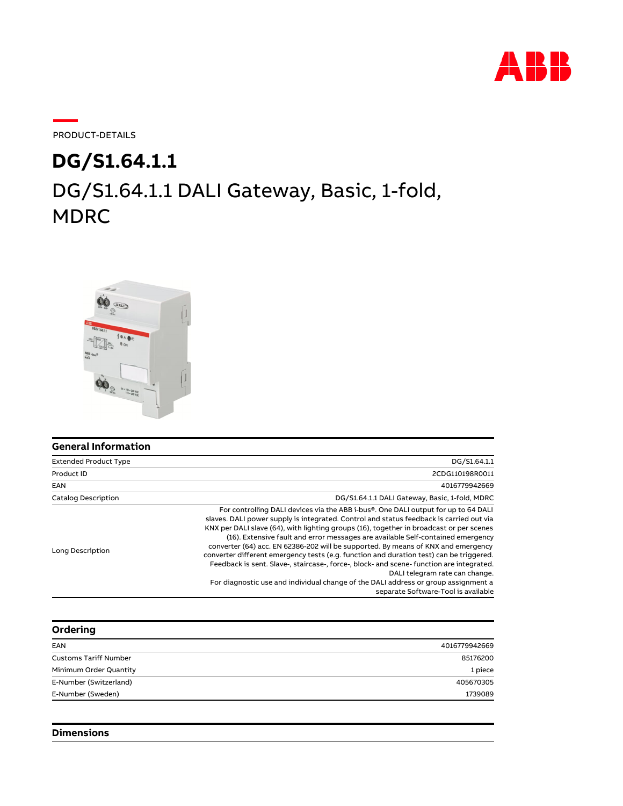

PRODUCT-DETAILS

# DG/S1.64.1.1 DALI Gateway, Basic, 1-fold, MDRC **DG/S1.64.1.1**



| <b>General Information</b>   |                                                                                                                                                                                                                                                                                                                                                                                                                                                                                                                                                                                                                                                                                                                                                                                                        |
|------------------------------|--------------------------------------------------------------------------------------------------------------------------------------------------------------------------------------------------------------------------------------------------------------------------------------------------------------------------------------------------------------------------------------------------------------------------------------------------------------------------------------------------------------------------------------------------------------------------------------------------------------------------------------------------------------------------------------------------------------------------------------------------------------------------------------------------------|
| <b>Extended Product Type</b> | DG/S1.64.1.1                                                                                                                                                                                                                                                                                                                                                                                                                                                                                                                                                                                                                                                                                                                                                                                           |
| Product ID                   | 2CDG110198R0011                                                                                                                                                                                                                                                                                                                                                                                                                                                                                                                                                                                                                                                                                                                                                                                        |
| EAN                          | 4016779942669                                                                                                                                                                                                                                                                                                                                                                                                                                                                                                                                                                                                                                                                                                                                                                                          |
| <b>Catalog Description</b>   | DG/S1.64.1.1 DALI Gateway, Basic, 1-fold, MDRC                                                                                                                                                                                                                                                                                                                                                                                                                                                                                                                                                                                                                                                                                                                                                         |
| Long Description             | For controlling DALI devices via the ABB i-bus®. One DALI output for up to 64 DALI<br>slaves. DALI power supply is integrated. Control and status feedback is carried out via<br>KNX per DALI slave (64), with lighting groups (16), together in broadcast or per scenes<br>(16). Extensive fault and error messages are available Self-contained emergency<br>converter (64) acc. EN 62386-202 will be supported. By means of KNX and emergency<br>converter different emergency tests (e.g. function and duration test) can be triggered.<br>Feedback is sent. Slave-, staircase-, force-, block- and scene- function are integrated.<br>DALI telegram rate can change.<br>For diagnostic use and individual change of the DALI address or group assignment a<br>separate Software-Tool is available |

| Ordering                     |               |
|------------------------------|---------------|
| EAN                          | 4016779942669 |
| <b>Customs Tariff Number</b> | 85176200      |
| Minimum Order Quantity       | 1 piece       |
| E-Number (Switzerland)       | 405670305     |
| E-Number (Sweden)            | 1739089       |
|                              |               |

### **Dimensions**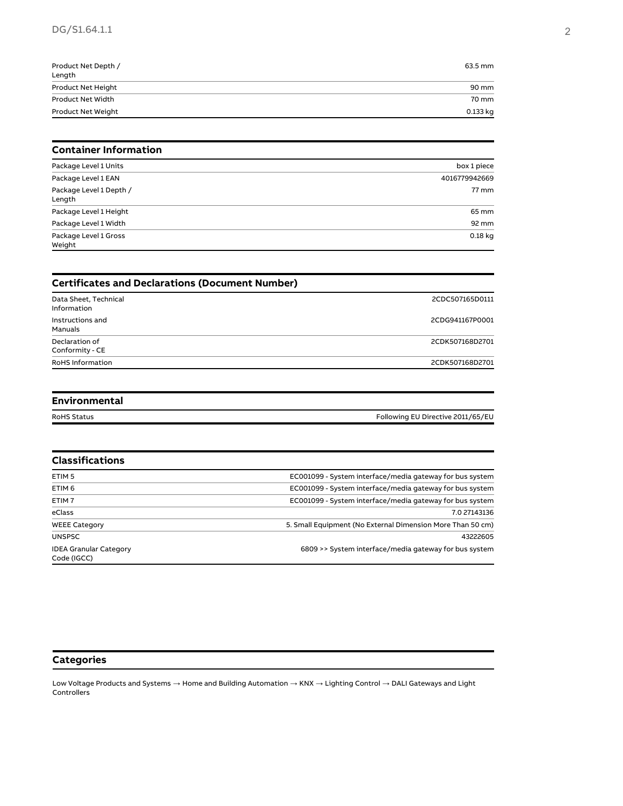## DG/S1.64.1.1 2

| Product Net Depth /<br>Length | 63.5 mm  |
|-------------------------------|----------|
| Product Net Height            | 90 mm    |
| Product Net Width             | 70 mm    |
| Product Net Weight            | 0.133 kg |

#### **Container Information**

| Package Level 1 Units             | box 1 piece   |
|-----------------------------------|---------------|
| Package Level 1 EAN               | 4016779942669 |
| Package Level 1 Depth /<br>Length | 77 mm         |
| Package Level 1 Height            | 65 mm         |
| Package Level 1 Width             | 92 mm         |
| Package Level 1 Gross<br>Weight   | $0.18$ kg     |

| <b>Certificates and Declarations (Document Number)</b> |                 |  |
|--------------------------------------------------------|-----------------|--|
| Data Sheet, Technical<br>Information                   | 2CDC507165D0111 |  |
| Instructions and<br>Manuals                            | 2CDG941167P0001 |  |
| Declaration of<br>Conformity - CE                      | 2CDK507168D2701 |  |
| <b>RoHS Information</b>                                | 2CDK507168D2701 |  |

#### **Environmental**

RoHS Status **Following EU Directive 2011/65/EU** 

| <b>Classifications</b>                       |                                                            |
|----------------------------------------------|------------------------------------------------------------|
| ETIM <sub>5</sub>                            | EC001099 - System interface/media gateway for bus system   |
| ETIM <sub>6</sub>                            | EC001099 - System interface/media gateway for bus system   |
| ETIM <sub>7</sub>                            | EC001099 - System interface/media gateway for bus system   |
| eClass                                       | 7.0 27143136                                               |
| <b>WEEE Category</b>                         | 5. Small Equipment (No External Dimension More Than 50 cm) |
| <b>UNSPSC</b>                                | 43222605                                                   |
| <b>IDEA Granular Category</b><br>Code (IGCC) | 6809 >> System interface/media gateway for bus system      |

#### **Categories**

Low Voltage Products and Systems → Home and Building Automation → KNX → Lighting Control → DALI Gateways and Light Controllers